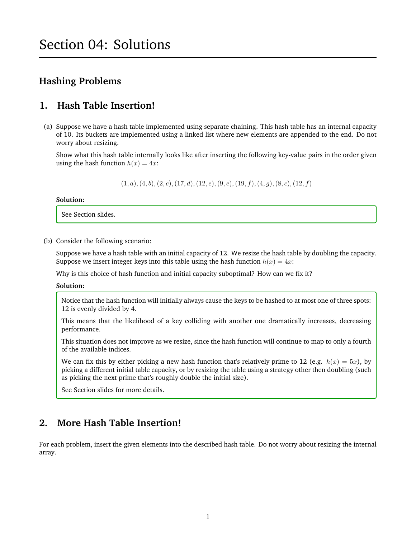# **Hashing Problems**

# **1. Hash Table Insertion!**

(a) Suppose we have a hash table implemented using separate chaining. This hash table has an internal capacity of 10. Its buckets are implemented using a linked list where new elements are appended to the end. Do not worry about resizing.

Show what this hash table internally looks like after inserting the following key-value pairs in the order given using the hash function  $h(x) = 4x$ :

 $(1, a), (4, b), (2, c), (17, d), (12, e), (9, e), (19, f), (4, g), (8, c), (12, f)$ 

#### **Solution:**

See Section slides.

(b) Consider the following scenario:

Suppose we have a hash table with an initial capacity of 12. We resize the hash table by doubling the capacity. Suppose we insert integer keys into this table using the hash function  $h(x) = 4x$ :

Why is this choice of hash function and initial capacity suboptimal? How can we fix it?

**Solution:**

Notice that the hash function will initially always cause the keys to be hashed to at most one of three spots: 12 is evenly divided by 4.

This means that the likelihood of a key colliding with another one dramatically increases, decreasing performance.

This situation does not improve as we resize, since the hash function will continue to map to only a fourth of the available indices.

We can fix this by either picking a new hash function that's relatively prime to 12 (e.g.  $h(x) = 5x$ ), by picking a different initial table capacity, or by resizing the table using a strategy other then doubling (such as picking the next prime that's roughly double the initial size).

See Section slides for more details.

# **2. More Hash Table Insertion!**

For each problem, insert the given elements into the described hash table. Do not worry about resizing the internal array.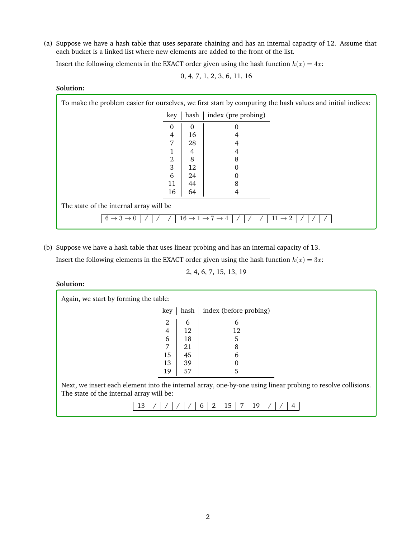(a) Suppose we have a hash table that uses separate chaining and has an internal capacity of 12. Assume that each bucket is a linked list where new elements are added to the front of the list.

Insert the following elements in the EXACT order given using the hash function  $h(x) = 4x$ :

0, 4, 7, 1, 2, 3, 6, 11, 16

**Solution:**

| To make the problem easier for ourselves, we first start by computing the hash values and initial indices: |          |                     |  |  |  |  |  |
|------------------------------------------------------------------------------------------------------------|----------|---------------------|--|--|--|--|--|
| key                                                                                                        | hash     | index (pre probing) |  |  |  |  |  |
| 0                                                                                                          | $\Omega$ | 0                   |  |  |  |  |  |
| 4                                                                                                          | 16       | 4                   |  |  |  |  |  |
| 7                                                                                                          | 28       |                     |  |  |  |  |  |
|                                                                                                            | 4        | 4                   |  |  |  |  |  |
| 2                                                                                                          | 8        | 8                   |  |  |  |  |  |
| 3                                                                                                          | 12       |                     |  |  |  |  |  |
| 6                                                                                                          | 24       |                     |  |  |  |  |  |
| 11                                                                                                         | 44       | 8                   |  |  |  |  |  |
| 16                                                                                                         | 64       | 4                   |  |  |  |  |  |
| The state of the internal array will be                                                                    |          |                     |  |  |  |  |  |
| $6 \rightarrow 3 \rightarrow 0$<br>$16 \rightarrow 1 \rightarrow 7 \rightarrow 4$<br>$11 \rightarrow 2$    |          |                     |  |  |  |  |  |

(b) Suppose we have a hash table that uses linear probing and has an internal capacity of 13. Insert the following elements in the EXACT order given using the hash function  $h(x) = 3x$ :

2, 4, 6, 7, 15, 13, 19

**Solution:**

| Again, we start by forming the table:                                                                                                                    |      |                        |  |  |  |  |  |  |
|----------------------------------------------------------------------------------------------------------------------------------------------------------|------|------------------------|--|--|--|--|--|--|
| key                                                                                                                                                      | hash | index (before probing) |  |  |  |  |  |  |
| 2                                                                                                                                                        | 6    | 6                      |  |  |  |  |  |  |
| 4                                                                                                                                                        | 12   | 12                     |  |  |  |  |  |  |
| 6                                                                                                                                                        | 18   | 5                      |  |  |  |  |  |  |
| 7                                                                                                                                                        | 21   | 8                      |  |  |  |  |  |  |
| 15                                                                                                                                                       | 45   | 6                      |  |  |  |  |  |  |
| 13                                                                                                                                                       | 39   |                        |  |  |  |  |  |  |
| 19                                                                                                                                                       | 57   | 5                      |  |  |  |  |  |  |
| Next, we insert each element into the internal array, one-by-one using linear probing to resolve collisions.<br>The state of the internal array will be: |      |                        |  |  |  |  |  |  |
| 13                                                                                                                                                       |      | 15<br>19<br>n          |  |  |  |  |  |  |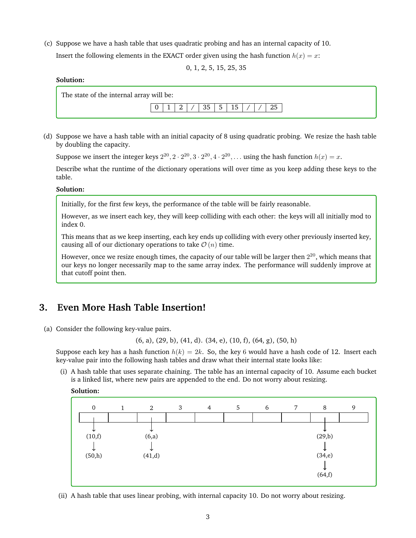(c) Suppose we have a hash table that uses quadratic probing and has an internal capacity of 10. Insert the following elements in the EXACT order given using the hash function  $h(x) = x$ :

0, 1, 2, 5, 15, 25, 35

## **Solution:**

The state of the internal array will be:



(d) Suppose we have a hash table with an initial capacity of 8 using quadratic probing. We resize the hash table by doubling the capacity.

Suppose we insert the integer keys  $2^{20}$ ,  $2 \cdot 2^{20}$ ,  $3 \cdot 2^{20}$ ,  $4 \cdot 2^{20}$ , ... using the hash function  $h(x) = x$ .

Describe what the runtime of the dictionary operations will over time as you keep adding these keys to the table.

### **Solution:**

Initially, for the first few keys, the performance of the table will be fairly reasonable.

However, as we insert each key, they will keep colliding with each other: the keys will all initially mod to index 0.

This means that as we keep inserting, each key ends up colliding with every other previously inserted key, causing all of our dictionary operations to take  $\mathcal{O}(n)$  time.

However, once we resize enough times, the capacity of our table will be larger then  $2^{20}$ , which means that our keys no longer necessarily map to the same array index. The performance will suddenly improve at that cutoff point then.

# **3. Even More Hash Table Insertion!**

(a) Consider the following key-value pairs.

(6, a), (29, b), (41, d). (34, e), (10, f), (64, g), (50, h)

Suppose each key has a hash function  $h(k) = 2k$ . So, the key 6 would have a hash code of 12. Insert each key-value pair into the following hash tables and draw what their internal state looks like:

(i) A hash table that uses separate chaining. The table has an internal capacity of 10. Assume each bucket is a linked list, where new pairs are appended to the end. Do not worry about resizing.





(ii) A hash table that uses linear probing, with internal capacity 10. Do not worry about resizing.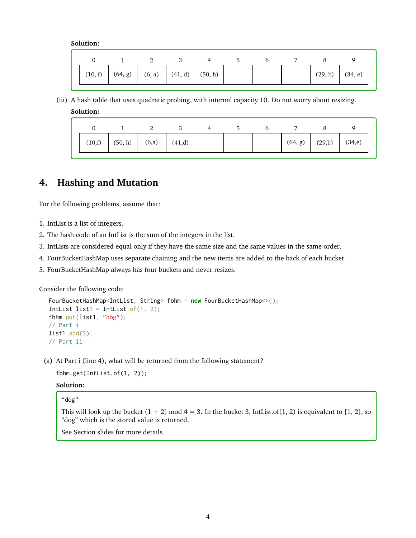|  |  | $(10, f)$ $(64, g)$ $(6, a)$ $(41, d)$ $(50, h)$ |  |  | $(29, b)$ $(34, e)$ |  |
|--|--|--------------------------------------------------|--|--|---------------------|--|

(iii) A hash table that uses quadratic probing, with internal capacity 10. Do not worry about resizing. **Solution:**

| (10,f) | (50, h) | (6,a) | (41,d) |  | (64, g) | (29,b) | (34,e) |
|--------|---------|-------|--------|--|---------|--------|--------|

# **4. Hashing and Mutation**

For the following problems, assume that:

- 1. IntList is a list of integers.
- 2. The hash code of an IntList is the sum of the integers in the list.
- 3. IntLists are considered equal only if they have the same size and the same values in the same order.
- 4. FourBucketHashMap uses separate chaining and the new items are added to the back of each bucket.
- 5. FourBucketHashMap always has four buckets and never resizes.

Consider the following code:

```
FourBucketHashMap<IntList, String> fbhm = new FourBucketHashMap<>();
Intlist list1 = Intlist.of(1, 2);
fbhm.put(list1, "dog");
// Part i
list1.add(3);
// Part ii
```
(a) At Part i (line 4), what will be returned from the following statement?

fbhm.get(IntList.of(1, 2));

### **Solution:**

## "dog"

This will look up the bucket  $(1 + 2)$  mod  $4 = 3$ . In the bucket 3, IntList.of $(1, 2)$  is equivalent to [1, 2], so "dog" which is the stored value is returned.

See Section slides for more details.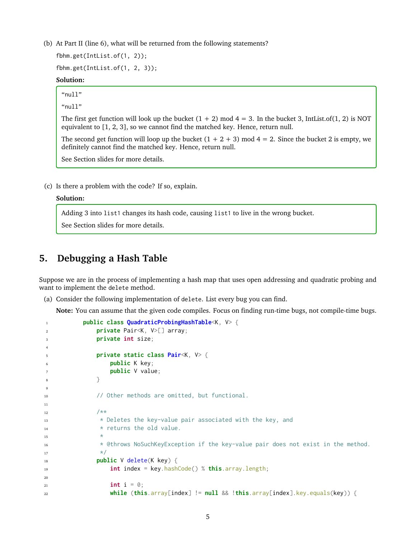(b) At Part II (line 6), what will be returned from the following statements?

fbhm.get(IntList.of(1, 2));

fbhm.get(IntList.of(1, 2, 3));

### **Solution:**

"null"

" $"$ null"

The first get function will look up the bucket  $(1 + 2)$  mod  $4 = 3$ . In the bucket 3, IntList.of $(1, 2)$  is NOT equivalent to [1, 2, 3], so we cannot find the matched key. Hence, return null.

The second get function will loop up the bucket  $(1 + 2 + 3)$  mod  $4 = 2$ . Since the bucket 2 is empty, we definitely cannot find the matched key. Hence, return null.

See Section slides for more details.

(c) Is there a problem with the code? If so, explain.

### **Solution:**

Adding 3 into list1 changes its hash code, causing list1 to live in the wrong bucket.

See Section slides for more details.

# **5. Debugging a Hash Table**

Suppose we are in the process of implementing a hash map that uses open addressing and quadratic probing and want to implement the delete method.

(a) Consider the following implementation of delete. List every bug you can find.

**Note:** You can assume that the given code compiles. Focus on finding run-time bugs, not compile-time bugs.

```
1 public class QuadraticProbingHashTable<K, V> {
2 private Pair<K, V>[] array;
3 private int size;
4
5 private static class Pair<K, V> {
              public K key;
              public V value;
8 }
\circ10 // Other methods are omitted, but functional.
11
12 /*** Deletes the key-value pair associated with the key, and
* returns the old value.
15 *
16 * @throws NoSuchKeyException if the key-value pair does not exist in the method.
\frac{17}{ } */
18 public V delete(K key) {
19 int index = key.hashCode() % this.array.length;
20
21 int i = 0;
22 while (this.array[index] != null && !this.array[index].key.equals(key)) {
```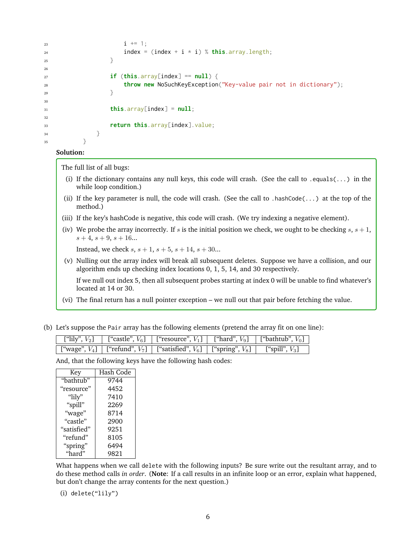```
23 i \neq 1;24 index = (index + i * i) % this.array.length;
25 }
26
27 if (this.array[index] == null) {
28 throw new NoSuchKeyException("Key-value pair not in dictionary");
29 }
30
31 this.array[index] = null;
32
33 return this.array[index].value;
34 }
35 }
```
The full list of all bugs:

- (i) If the dictionary contains any null keys, this code will crash. (See the call to .equals( $\dots$ ) in the while loop condition.)
- (ii) If the key parameter is null, the code will crash. (See the call to .hashCode( $\ldots$ ) at the top of the method.)
- (iii) If the key's hashCode is negative, this code will crash. (We try indexing a negative element).
- (iv) We probe the array incorrectly. If s is the initial position we check, we ought to be checking  $s, s+1$ ,  $s + 4$ ,  $s + 9$ ,  $s + 16$ ...

Instead, we check  $s, s + 1, s + 5, s + 14, s + 30...$ 

(v) Nulling out the array index will break all subsequent deletes. Suppose we have a collision, and our algorithm ends up checking index locations 0, 1, 5, 14, and 30 respectively.

If we null out index 5, then all subsequent probes starting at index 0 will be unable to find whatever's located at 14 or 30.

- (vi) The final return has a null pointer exception we null out that pair before fetching the value.
- (b) Let's suppose the Pair array has the following elements (pretend the array fit on one line):

|  | ["lily", $V_2$ ]   ["castle", $V_6$ ]   ["resource", $V_1$ ]   ["hard", $V_9$ ]   ["bathtub", $V_0$ ]  |  |
|--|--------------------------------------------------------------------------------------------------------|--|
|  | ["wage", $V_4$ ]   ["refund", $V_7$ ]   ["satisfied", $V_6$ ]   ["spring", $V_8$ ]   ["spill", $V_3$ ] |  |

And, that the following keys have the following hash codes:

| Key         | Hash Code |
|-------------|-----------|
| "bathtub"   | 9744      |
| "resource"  | 4452      |
| "lily"      | 7410      |
| "spill"     | 2269      |
| "wage"      | 8714      |
| "castle"    | 2900      |
| "satisfied" | 9251      |
| "refund"    | 8105      |
| "spring"    | 6494      |
| "hard"      | 9821      |

What happens when we call delete with the following inputs? Be sure write out the resultant array, and to do these method calls *in order*. (**Note**: If a call results in an infinite loop or an error, explain what happened, but don't change the array contents for the next question.)

(i) delete("lily")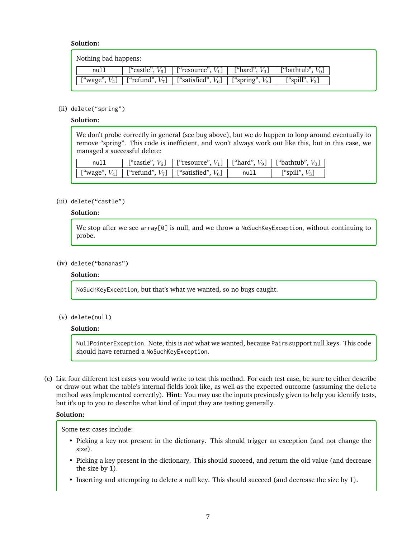| Nothing bad happens: |                                |                                                                 |                             |
|----------------------|--------------------------------|-----------------------------------------------------------------|-----------------------------|
| null                 | $\lceil$ "castle", $V_6\rceil$ | ["resource", $V_1$ ]   ["hard", $V_9$ ]                         | $\lceil$ "bathtub", $V_0$ ] |
| ["wage", $V_4$ ]     |                                | ["refund", $V_7$ ]   ["satisfied", $V_6$ ]   ["spring", $V_8$ ] | ["spill", $V_3$ ]           |

### (ii) delete("spring")

### **Solution:**

We don't probe correctly in general (see bug above), but we *do* happen to loop around eventually to remove "spring". This code is inefficient, and won't always work out like this, but in this case, we managed a successful delete:

| nul. | ["castle", $V_6$ ]   ["resource", $V_1$ ]   ["hard", $V_9$ ]   ["bathtub", $V_0$ ] |      |                   |
|------|------------------------------------------------------------------------------------|------|-------------------|
|      | ["wage", $V_4$ ]   ["refund", $V_7$ ]   ["satisfied", $V_6$ ]                      | null | ["spill", $V_3$ ] |

### (iii) delete("castle")

## **Solution:**

We stop after we see array[0] is null, and we throw a NoSuchKeyException, without continuing to probe.

#### (iv) delete("bananas")

#### **Solution:**

NoSuchKeyException, but that's what we wanted, so no bugs caught.

(v) delete(null)

#### **Solution:**

NullPointerException. Note, this is *not* what we wanted, because Pairs support null keys. This code should have returned a NoSuchKeyException.

(c) List four different test cases you would write to test this method. For each test case, be sure to either describe or draw out what the table's internal fields look like, as well as the expected outcome (assuming the delete method was implemented correctly). **Hint**: You may use the inputs previously given to help you identify tests, but it's up to you to describe what kind of input they are testing generally.

## **Solution:**

Some test cases include:

- Picking a key not present in the dictionary. This should trigger an exception (and not change the size).
- Picking a key present in the dictionary. This should succeed, and return the old value (and decrease the size by 1).
- Inserting and attempting to delete a null key. This should succeed (and decrease the size by 1).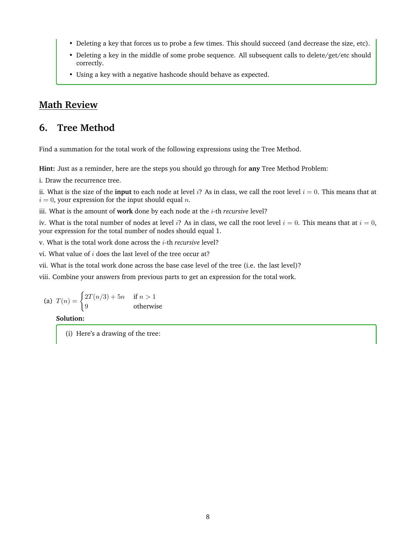- Deleting a key that forces us to probe a few times. This should succeed (and decrease the size, etc).
- Deleting a key in the middle of some probe sequence. All subsequent calls to delete/get/etc should correctly.
- Using a key with a negative hashcode should behave as expected.

# **Math Review**

# **6. Tree Method**

Find a summation for the total work of the following expressions using the Tree Method.

**Hint:** Just as a reminder, here are the steps you should go through for **any** Tree Method Problem:

i. Draw the recurrence tree.

ii. What is the size of the **input** to each node at level i? As in class, we call the root level  $i = 0$ . This means that at  $i = 0$ , your expression for the input should equal n.

iii. What is the amount of work done by each node at the *i*-th *recursive* level?

iv. What is the total number of nodes at level i? As in class, we call the root level  $i = 0$ . This means that at  $i = 0$ , your expression for the total number of nodes should equal 1.

v. What is the total work done across the i-th *recursive* level?

vi. What value of  $i$  does the last level of the tree occur at?

vii. What is the total work done across the base case level of the tree (i.e. the last level)?

viii. Combine your answers from previous parts to get an expression for the total work.

(a) 
$$
T(n) = \begin{cases} 2T(n/3) + 5n & \text{if } n > 1 \\ 9 & \text{otherwise} \end{cases}
$$

**Solution:**

(i) Here's a drawing of the tree: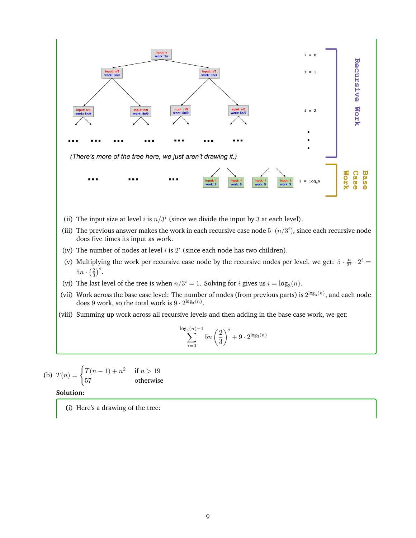

(b) 
$$
T(n) = \begin{cases} T(n-1) + n^2 & \text{if } n > 19\\ 57 & \text{otherwise} \end{cases}
$$

(i) Here's a drawing of the tree: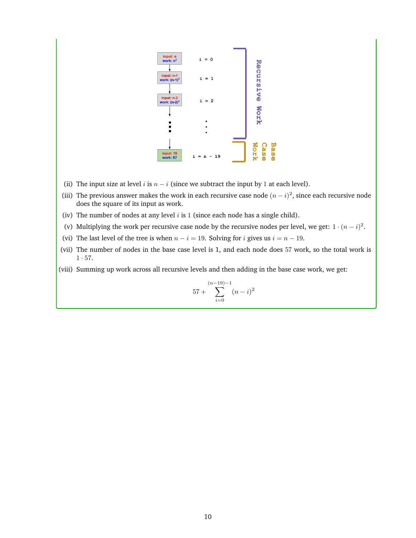

- (ii) The input size at level i is  $n i$  (since we subtract the input by 1 at each level).
- (iii) The previous answer makes the work in each recursive case node  $(n i)^2$ , since each recursive node does the square of its input as work.
- (iv) The number of nodes at any level  $i$  is 1 (since each node has a single child).
- (v) Multiplying the work per recursive case node by the recursive nodes per level, we get:  $1 \cdot (n i)^2$ .
- (vi) The last level of the tree is when  $n i = 19$ . Solving for *i* gives us  $i = n 19$ .
- (vii) The number of nodes in the base case level is 1, and each node does 57 work, so the total work is  $1 \cdot 57$ .

(viii) Summing up work across all recursive levels and then adding in the base case work, we get:

$$
57 + \sum_{i=0}^{(n-19)-1} (n-i)^2
$$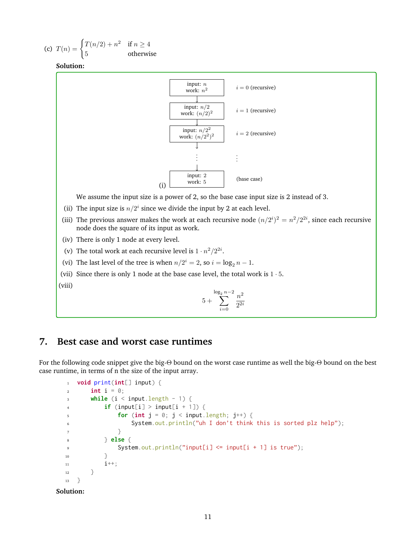(c) 
$$
T(n) = \begin{cases} T(n/2) + n^2 & \text{if } n \ge 4\\ 5 & \text{otherwise} \end{cases}
$$



We assume the input size is a power of 2, so the base case input size is 2 instead of 3.

- (ii) The input size is  $n/2<sup>i</sup>$  since we divide the input by 2 at each level.
- (iii) The previous answer makes the work at each recursive node  $(n/2<sup>i</sup>)<sup>2</sup> = n<sup>2</sup>/2<sup>2i</sup>$ , since each recursive node does the square of its input as work.
- (iv) There is only 1 node at every level.
- (v) The total work at each recursive level is  $1 \cdot n^2/2^{2i}$ .
- (vi) The last level of the tree is when  $n/2^i = 2$ , so  $i = \log_2 n 1$ .
- (vii) Since there is only 1 node at the base case level, the total work is  $1 \cdot 5$ .

(viii)

$$
5+\sum_{i=0}^{\log_2 n-2} \frac{n^2}{2^{2i}}
$$

# **7. Best case and worst case runtimes**

For the following code snippet give the big-Θ bound on the worst case runtime as well the big-Θ bound on the best case runtime, in terms of n the size of the input array.

```
1 void print(int[] input) {
\frac{1}{2} int i = 0;
3 while (i < input.length - 1) {
4 if (input[i] > input[i + 1]) {
\mathbf{f} for (int \mathbf{j} = 0; \mathbf{j} < \mathbf{i} nput. length; \mathbf{j}^{++}) {
6 System.out.println("uh I don't think this is sorted plz help");
7 }
8 } else {
9 System.out.println("input[i] <= input[i + 1] is true");
10 }
i^{++};
12 }
13 \quad \frac{1}{2}
```
**Solution:**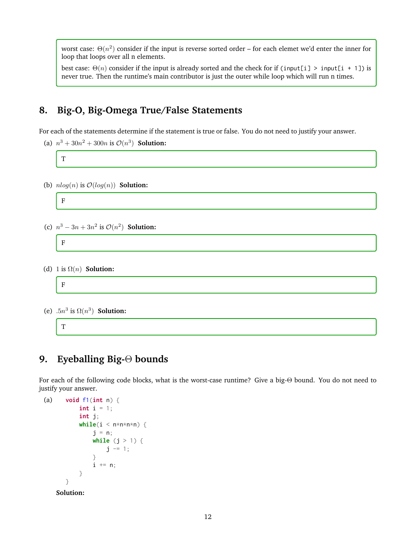worst case:  $\Theta(n^2)$  consider if the input is reverse sorted order – for each elemet we'd enter the inner for loop that loops over all n elements.

best case:  $\Theta(n)$  consider if the input is already sorted and the check for if (input[i] > input[i + 1]) is never true. Then the runtime's main contributor is just the outer while loop which will run n times.

# **8. Big-O, Big-Omega True/False Statements**

For each of the statements determine if the statement is true or false. You do not need to justify your answer.

(a)  $n^3 + 30n^2 + 300n$  is  $\mathcal{O}(n^3)$  **Solution:** 

T

(b)  $nlog(n)$  is  $\mathcal{O}(log(n))$  **Solution:** 



# **9. Eyeballing Big-**Θ **bounds**

For each of the following code blocks, what is the worst-case runtime? Give a big-Θ bound. You do not need to justify your answer.

```
(a) void f1(int n) {
           int i = 1;int j;
           while(i < n * n * n * n) {
               j = n;while (j > 1) {
                   j = 1;}
               i += n;
           }
       }
    Solution:
```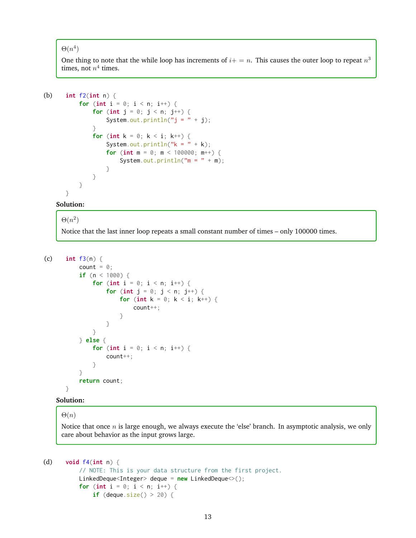### $\Theta(n^4)$

One thing to note that the while loop has increments of  $i+=n$ . This causes the outer loop to repeat  $n^3$ times, not  $n^4$  times.

```
(b) int f2(int n) {
           for (int i = 0; i < n; i++) {
               for (int j = 0; j < n; j^{++}) {
                   System.out.println("j = " + j);}
               for (int k = 0; k < i; k^{++}) {
                   System.out.println("k = " + k);
                   for (int m = 0; m < 100000; m++) {
                       System.out.println(m = " + m);
                   }
              }
          }
      }
```
#### **Solution:**

# $\Theta(n^2)$ Notice that the last inner loop repeats a small constant number of times – only 100000 times.

```
(c) int f3(n) {
          count = \theta;
          if (n < 1000) {
               for (int i = 0; i < n; i++) {
                   for (int j = 0; j < n; j^{++}) {
                       for (int k = 0; k < i; k++) {
                           count++;
                       }
                   }
               }
           } else {
               for (int i = 0; i < n; i++) {
                   count++;
               }
           }
          return count;
      }
```
#### **Solution:**

## $\Theta(n)$

Notice that once  $n$  is large enough, we always execute the 'else' branch. In asymptotic analysis, we only care about behavior as the input grows large.

```
(d) void f4(int n) {
          // NOTE: This is your data structure from the first project.
          LinkedDeque<Integer> deque = new LinkedDeque<>();
          for (int i = 0; i < n; i++) {
              if (deque.size() > 20) {
```